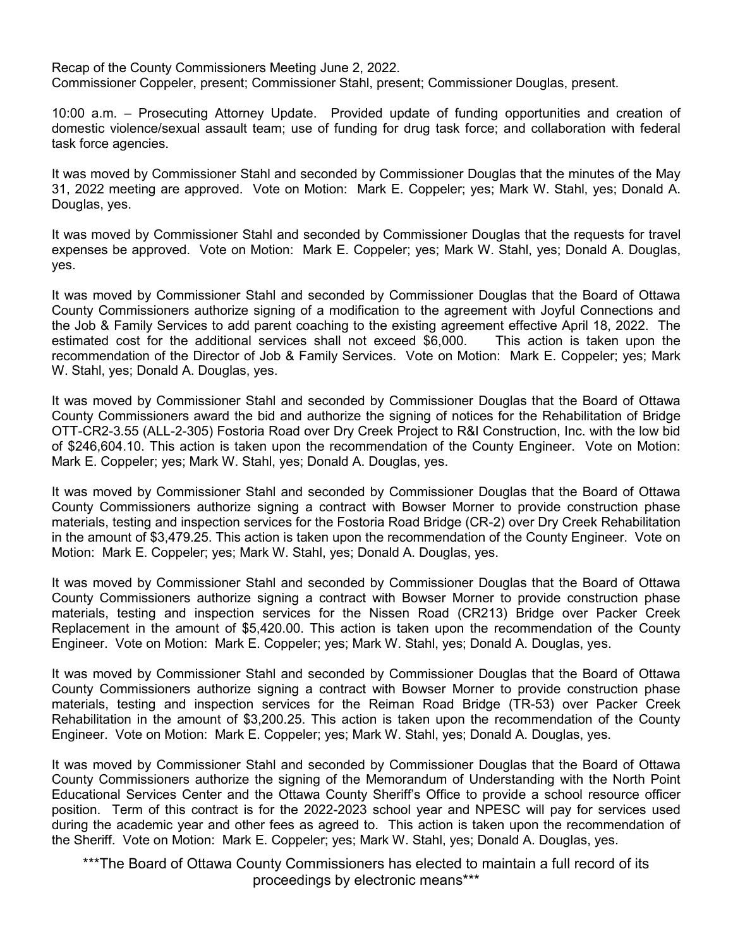Recap of the County Commissioners Meeting June 2, 2022. Commissioner Coppeler, present; Commissioner Stahl, present; Commissioner Douglas, present.

10:00 a.m. – Prosecuting Attorney Update. Provided update of funding opportunities and creation of domestic violence/sexual assault team; use of funding for drug task force; and collaboration with federal task force agencies.

It was moved by Commissioner Stahl and seconded by Commissioner Douglas that the minutes of the May 31, 2022 meeting are approved. Vote on Motion: Mark E. Coppeler; yes; Mark W. Stahl, yes; Donald A. Douglas, yes.

It was moved by Commissioner Stahl and seconded by Commissioner Douglas that the requests for travel expenses be approved. Vote on Motion: Mark E. Coppeler; yes; Mark W. Stahl, yes; Donald A. Douglas, yes.

It was moved by Commissioner Stahl and seconded by Commissioner Douglas that the Board of Ottawa County Commissioners authorize signing of a modification to the agreement with Joyful Connections and the Job & Family Services to add parent coaching to the existing agreement effective April 18, 2022. The estimated cost for the additional services shall not exceed \$6,000. This action is taken upon the recommendation of the Director of Job & Family Services. Vote on Motion: Mark E. Coppeler; yes; Mark W. Stahl, yes; Donald A. Douglas, yes.

It was moved by Commissioner Stahl and seconded by Commissioner Douglas that the Board of Ottawa County Commissioners award the bid and authorize the signing of notices for the Rehabilitation of Bridge OTT-CR2-3.55 (ALL-2-305) Fostoria Road over Dry Creek Project to R&I Construction, Inc. with the low bid of \$246,604.10. This action is taken upon the recommendation of the County Engineer. Vote on Motion: Mark E. Coppeler; yes; Mark W. Stahl, yes; Donald A. Douglas, yes.

It was moved by Commissioner Stahl and seconded by Commissioner Douglas that the Board of Ottawa County Commissioners authorize signing a contract with Bowser Morner to provide construction phase materials, testing and inspection services for the Fostoria Road Bridge (CR-2) over Dry Creek Rehabilitation in the amount of \$3,479.25. This action is taken upon the recommendation of the County Engineer. Vote on Motion: Mark E. Coppeler; yes; Mark W. Stahl, yes; Donald A. Douglas, yes.

It was moved by Commissioner Stahl and seconded by Commissioner Douglas that the Board of Ottawa County Commissioners authorize signing a contract with Bowser Morner to provide construction phase materials, testing and inspection services for the Nissen Road (CR213) Bridge over Packer Creek Replacement in the amount of \$5,420.00. This action is taken upon the recommendation of the County Engineer. Vote on Motion: Mark E. Coppeler; yes; Mark W. Stahl, yes; Donald A. Douglas, yes.

It was moved by Commissioner Stahl and seconded by Commissioner Douglas that the Board of Ottawa County Commissioners authorize signing a contract with Bowser Morner to provide construction phase materials, testing and inspection services for the Reiman Road Bridge (TR-53) over Packer Creek Rehabilitation in the amount of \$3,200.25. This action is taken upon the recommendation of the County Engineer. Vote on Motion: Mark E. Coppeler; yes; Mark W. Stahl, yes; Donald A. Douglas, yes.

It was moved by Commissioner Stahl and seconded by Commissioner Douglas that the Board of Ottawa County Commissioners authorize the signing of the Memorandum of Understanding with the North Point Educational Services Center and the Ottawa County Sheriff's Office to provide a school resource officer position. Term of this contract is for the 2022-2023 school year and NPESC will pay for services used during the academic year and other fees as agreed to. This action is taken upon the recommendation of the Sheriff. Vote on Motion: Mark E. Coppeler; yes; Mark W. Stahl, yes; Donald A. Douglas, yes.

\*\*\*The Board of Ottawa County Commissioners has elected to maintain a full record of its proceedings by electronic means\*\*\*